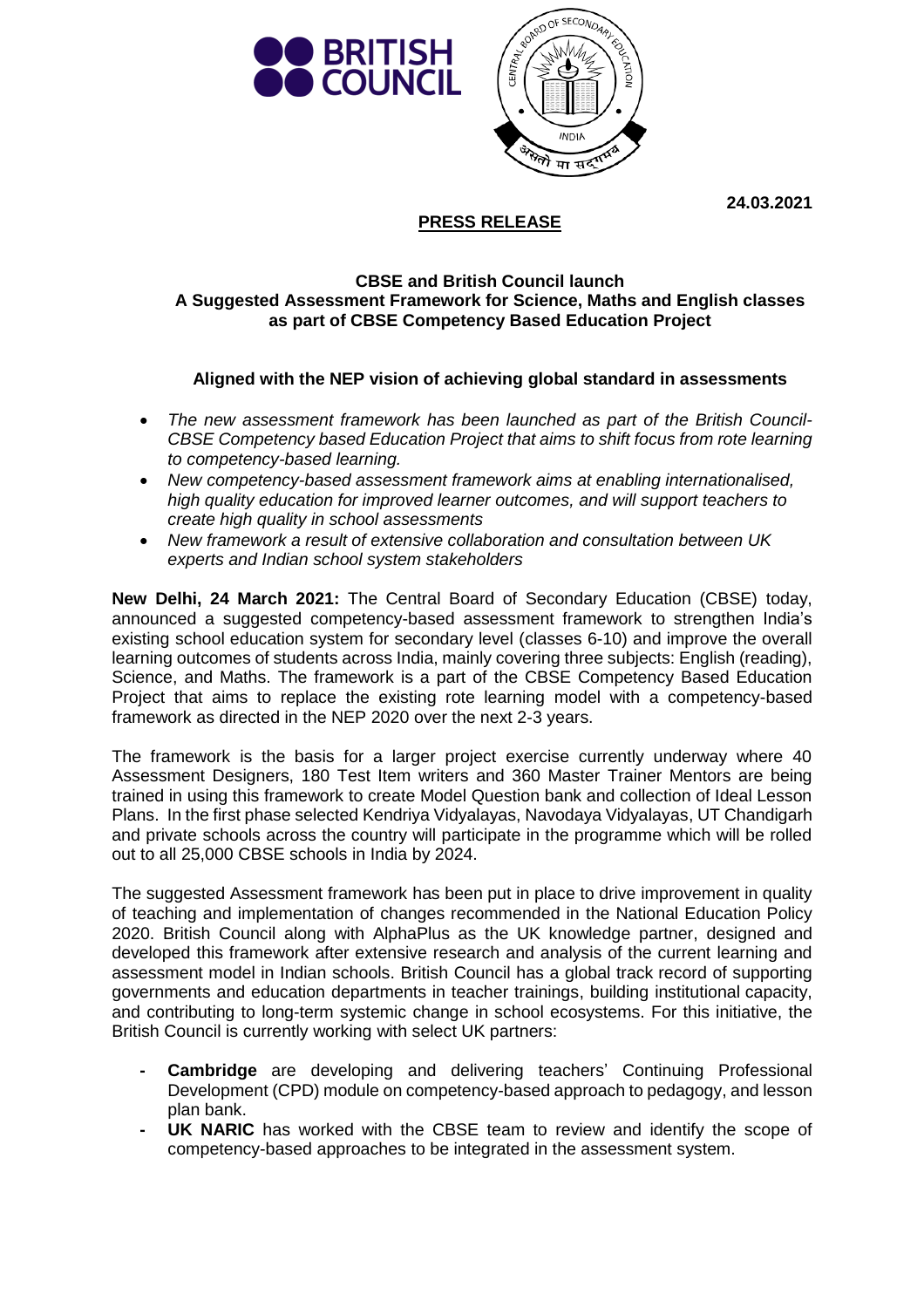



**24.03.2021**

## **PRESS RELEASE**

## **CBSE and British Council launch A Suggested Assessment Framework for Science, Maths and English classes as part of CBSE Competency Based Education Project**

## **Aligned with the NEP vision of achieving global standard in assessments**

- *The new assessment framework has been launched as part of the British Council-CBSE Competency based Education Project that aims to shift focus from rote learning to competency-based learning.*
- *New competency-based assessment framework aims at enabling internationalised, high quality education for improved learner outcomes, and will support teachers to create high quality in school assessments*
- *New framework a result of extensive collaboration and consultation between UK experts and Indian school system stakeholders*

**New Delhi, 24 March 2021:** The Central Board of Secondary Education (CBSE) today, announced a suggested competency-based assessment framework to strengthen India's existing school education system for secondary level (classes 6-10) and improve the overall learning outcomes of students across India, mainly covering three subjects: English (reading), Science, and Maths. The framework is a part of the CBSE Competency Based Education Project that aims to replace the existing rote learning model with a competency-based framework as directed in the NEP 2020 over the next 2-3 years.

The framework is the basis for a larger project exercise currently underway where 40 Assessment Designers, 180 Test Item writers and 360 Master Trainer Mentors are being trained in using this framework to create Model Question bank and collection of Ideal Lesson Plans. In the first phase selected Kendriya Vidyalayas, Navodaya Vidyalayas, UT Chandigarh and private schools across the country will participate in the programme which will be rolled out to all 25,000 CBSE schools in India by 2024.

The suggested Assessment framework has been put in place to drive improvement in quality of teaching and implementation of changes recommended in the National Education Policy 2020. British Council along with AlphaPlus as the UK knowledge partner, designed and developed this framework after extensive research and analysis of the current learning and assessment model in Indian schools. British Council has a global track record of supporting governments and education departments in teacher trainings, building institutional capacity, and contributing to long-term systemic change in school ecosystems. For this initiative, the British Council is currently working with select UK partners:

- **- Cambridge** are developing and delivering teachers' Continuing Professional Development (CPD) module on competency-based approach to pedagogy, and lesson plan bank.
- **UK NARIC** has worked with the CBSE team to review and identify the scope of competency-based approaches to be integrated in the assessment system.